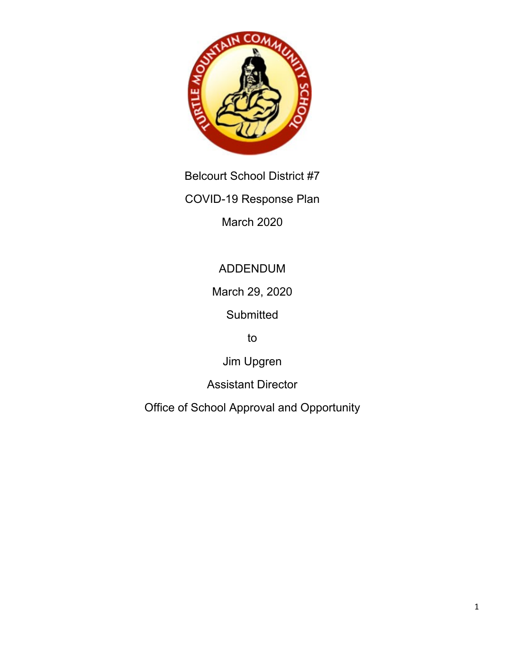

Belcourt School District #7

COVID-19 Response Plan

March 2020

# ADDENDUM

March 29, 2020

**Submitted** 

to

Jim Upgren

Assistant Director

Office of School Approval and Opportunity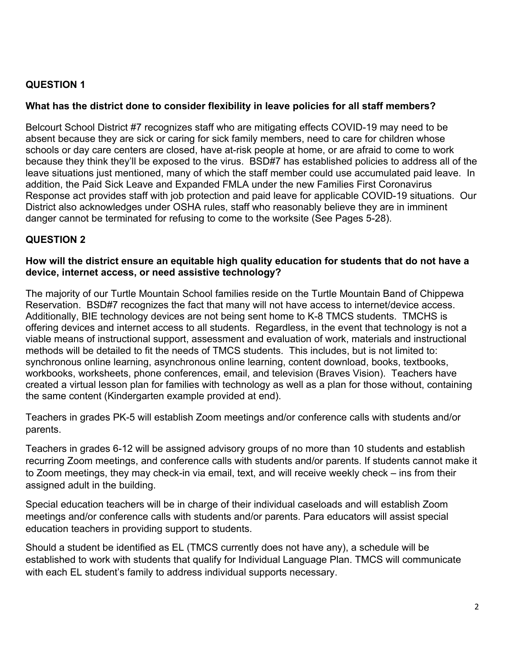## **QUESTION 1**

## **What has the district done to consider flexibility in leave policies for all staff members?**

Belcourt School District #7 recognizes staff who are mitigating effects COVID-19 may need to be absent because they are sick or caring for sick family members, need to care for children whose schools or day care centers are closed, have at-risk people at home, or are afraid to come to work because they think they'll be exposed to the virus. BSD#7 has established policies to address all of the leave situations just mentioned, many of which the staff member could use accumulated paid leave. In addition, the Paid Sick Leave and Expanded FMLA under the new Families First Coronavirus Response act provides staff with job protection and paid leave for applicable COVID-19 situations. Our District also acknowledges under OSHA rules, staff who reasonably believe they are in imminent danger cannot be terminated for refusing to come to the worksite (See Pages 5-28).

## **QUESTION 2**

### **How will the district ensure an equitable high quality education for students that do not have a device, internet access, or need assistive technology?**

The majority of our Turtle Mountain School families reside on the Turtle Mountain Band of Chippewa Reservation. BSD#7 recognizes the fact that many will not have access to internet/device access. Additionally, BIE technology devices are not being sent home to K-8 TMCS students. TMCHS is offering devices and internet access to all students. Regardless, in the event that technology is not a viable means of instructional support, assessment and evaluation of work, materials and instructional methods will be detailed to fit the needs of TMCS students. This includes, but is not limited to: synchronous online learning, asynchronous online learning, content download, books, textbooks, workbooks, worksheets, phone conferences, email, and television (Braves Vision). Teachers have created a virtual lesson plan for families with technology as well as a plan for those without, containing the same content (Kindergarten example provided at end).

Teachers in grades PK-5 will establish Zoom meetings and/or conference calls with students and/or parents.

Teachers in grades 6-12 will be assigned advisory groups of no more than 10 students and establish recurring Zoom meetings, and conference calls with students and/or parents. If students cannot make it to Zoom meetings, they may check-in via email, text, and will receive weekly check – ins from their assigned adult in the building.

Special education teachers will be in charge of their individual caseloads and will establish Zoom meetings and/or conference calls with students and/or parents. Para educators will assist special education teachers in providing support to students.

Should a student be identified as EL (TMCS currently does not have any), a schedule will be established to work with students that qualify for Individual Language Plan. TMCS will communicate with each EL student's family to address individual supports necessary.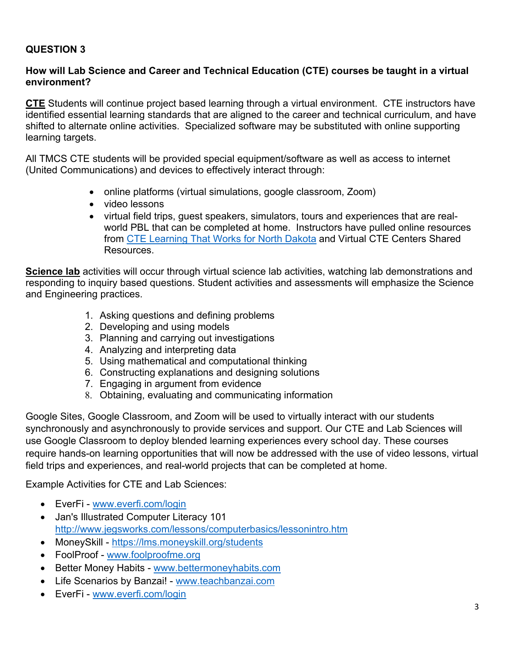## **QUESTION 3**

### **How will Lab Science and Career and Technical Education (CTE) courses be taught in a virtual environment?**

**CTE** Students will continue project based learning through a virtual environment. CTE instructors have identified essential learning standards that are aligned to the career and technical curriculum, and have shifted to alternate online activities. Specialized software may be substituted with online supporting learning targets.

All TMCS CTE students will be provided special equipment/software as well as access to internet (United Communications) and devices to effectively interact through:

- online platforms (virtual simulations, google classroom, Zoom)
- video lessons
- virtual field trips, quest speakers, simulators, tours and experiences that are realworld PBL that can be completed at home. Instructors have pulled online resources from CTE Learning That Works for North Dakota and Virtual CTE Centers Shared Resources.

**Science lab** activities will occur through virtual science lab activities, watching lab demonstrations and responding to inquiry based questions. Student activities and assessments will emphasize the Science and Engineering practices.

- 1. Asking questions and defining problems
- 2. Developing and using models
- 3. Planning and carrying out investigations
- 4. Analyzing and interpreting data
- 5. Using mathematical and computational thinking
- 6. Constructing explanations and designing solutions
- 7. Engaging in argument from evidence
- 8. Obtaining, evaluating and communicating information

Google Sites, Google Classroom, and Zoom will be used to virtually interact with our students synchronously and asynchronously to provide services and support. Our CTE and Lab Sciences will use Google Classroom to deploy blended learning experiences every school day. These courses require hands-on learning opportunities that will now be addressed with the use of video lessons, virtual field trips and experiences, and real-world projects that can be completed at home.

Example Activities for CTE and Lab Sciences:

- EverFi www.everfi.com/login
- Jan's Illustrated Computer Literacy 101 http://www.jegsworks.com/lessons/computerbasics/lessonintro.htm
- MoneySkill https://lms.moneyskill.org/students
- FoolProof www.foolproofme.org
- Better Money Habits www.bettermoneyhabits.com
- Life Scenarios by Banzai! www.teachbanzai.com
- EverFi www.everfi.com/login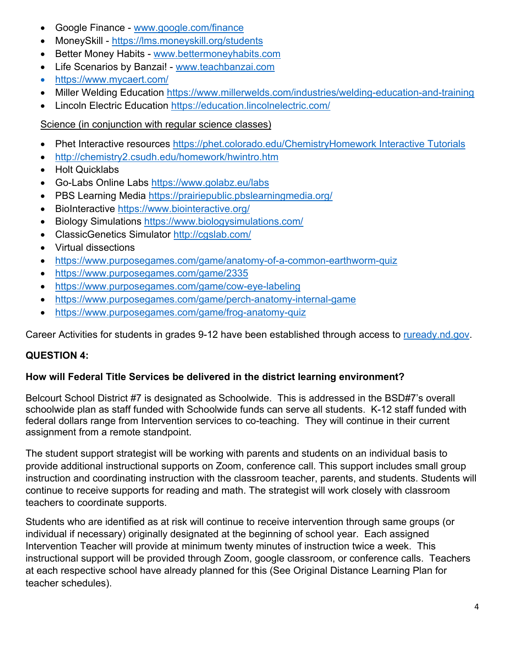- Google Finance www.google.com/finance
- MoneySkill https://lms.moneyskill.org/students
- Better Money Habits www.bettermoneyhabits.com
- Life Scenarios by Banzai! www.teachbanzai.com
- https://www.mycaert.com/
- Miller Welding Education https://www.millerwelds.com/industries/welding-education-and-training
- Lincoln Electric Education https://education.lincolnelectric.com/

## Science (in conjunction with regular science classes)

- Phet Interactive resources https://phet.colorado.edu/ChemistryHomework Interactive Tutorials
- http://chemistry2.csudh.edu/homework/hwintro.htm
- Holt Quicklabs
- Go-Labs Online Labs https://www.golabz.eu/labs
- PBS Learning Media https://prairiepublic.pbslearningmedia.org/
- BioInteractive https://www.biointeractive.org/
- Biology Simulations https://www.biologysimulations.com/
- ClassicGenetics Simulator http://cgslab.com/
- Virtual dissections
- https://www.purposegames.com/game/anatomy-of-a-common-earthworm-quiz
- https://www.purposegames.com/game/2335
- https://www.purposegames.com/game/cow-eye-labeling
- https://www.purposegames.com/game/perch-anatomy-internal-game
- https://www.purposegames.com/game/frog-anatomy-quiz

Career Activities for students in grades 9-12 have been established through access to ruready.nd.gov.

## **QUESTION 4:**

## **How will Federal Title Services be delivered in the district learning environment?**

Belcourt School District #7 is designated as Schoolwide. This is addressed in the BSD#7's overall schoolwide plan as staff funded with Schoolwide funds can serve all students. K-12 staff funded with federal dollars range from Intervention services to co-teaching. They will continue in their current assignment from a remote standpoint.

The student support strategist will be working with parents and students on an individual basis to provide additional instructional supports on Zoom, conference call. This support includes small group instruction and coordinating instruction with the classroom teacher, parents, and students. Students will continue to receive supports for reading and math. The strategist will work closely with classroom teachers to coordinate supports.

Students who are identified as at risk will continue to receive intervention through same groups (or individual if necessary) originally designated at the beginning of school year. Each assigned Intervention Teacher will provide at minimum twenty minutes of instruction twice a week. This instructional support will be provided through Zoom, google classroom, or conference calls. Teachers at each respective school have already planned for this (See Original Distance Learning Plan for teacher schedules).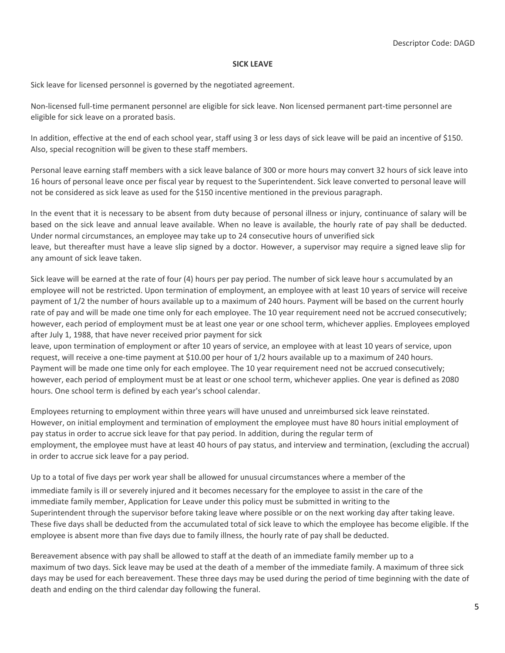#### **SICK LEAVE**

Sick leave for licensed personnel is governed by the negotiated agreement.

Non‐licensed full‐time permanent personnel are eligible for sick leave. Non licensed permanent part‐time personnel are eligible for sick leave on a prorated basis.

In addition, effective at the end of each school year, staff using 3 or less days of sick leave will be paid an incentive of \$150. Also, special recognition will be given to these staff members.

Personal leave earning staff members with a sick leave balance of 300 or more hours may convert 32 hours of sick leave into 16 hours of personal leave once per fiscal year by request to the Superintendent. Sick leave converted to personal leave will not be considered as sick leave as used for the \$150 incentive mentioned in the previous paragraph.

In the event that it is necessary to be absent from duty because of personal illness or injury, continuance of salary will be based on the sick leave and annual leave available. When no leave is available, the hourly rate of pay shall be deducted. Under normal circumstances, an employee may take up to 24 consecutive hours of unverified sick leave, but thereafter must have a leave slip signed by a doctor. However, a supervisor may require a signed leave slip for any amount of sick leave taken.

Sick leave will be earned at the rate of four (4) hours per pay period. The number of sick leave hour s accumulated by an employee will not be restricted. Upon termination of employment, an employee with at least 10 years of service will receive payment of 1/2 the number of hours available up to a maximum of 240 hours. Payment will be based on the current hourly rate of pay and will be made one time only for each employee. The 10 year requirement need not be accrued consecutively; however, each period of employment must be at least one year or one school term, whichever applies. Employees employed after July 1, 1988, that have never received prior payment for sick

leave, upon termination of employment or after 10 years of service, an employee with at least 10 years of service, upon request, will receive a one-time payment at \$10.00 per hour of 1/2 hours available up to a maximum of 240 hours. Payment will be made one time only for each employee. The 10 year requirement need not be accrued consecutively; however, each period of employment must be at least or one school term, whichever applies. One year is defined as 2080 hours. One school term is defined by each year's school calendar.

Employees returning to employment within three years will have unused and unreimbursed sick leave reinstated. However, on initial employment and termination of employment the employee must have 80 hours initial employment of pay status in order to accrue sick leave for that pay period. In addition, during the regular term of employment, the employee must have at least 40 hours of pay status, and interview and termination, (excluding the accrual) in order to accrue sick leave for a pay period.

Up to a total of five days per work year shall be allowed for unusual circumstances where a member of the immediate family is ill or severely injured and it becomes necessary for the employee to assist in the care of the immediate family member, Application for Leave under this policy must be submitted in writing to the Superintendent through the supervisor before taking leave where possible or on the next working day after taking leave. These five days shall be deducted from the accumulated total of sick leave to which the employee has become eligible. If the employee is absent more than five days due to family illness, the hourly rate of pay shall be deducted.

Bereavement absence with pay shall be allowed to staff at the death of an immediate family member up to a maximum of two days. Sick leave may be used at the death of a member of the immediate family. A maximum of three sick days may be used for each bereavement. These three days may be used during the period of time beginning with the date of death and ending on the third calendar day following the funeral.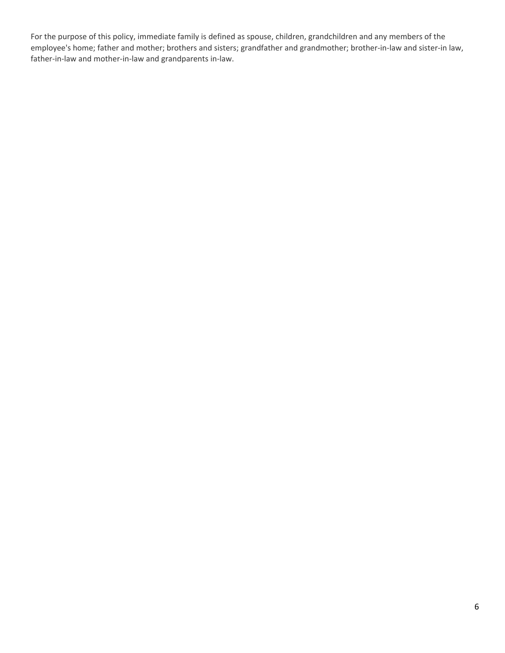For the purpose of this policy, immediate family is defined as spouse, children, grandchildren and any members of the employee's home; father and mother; brothers and sisters; grandfather and grandmother; brother‐in‐law and sister‐in law, father‐in‐law and mother‐in‐law and grandparents in‐law.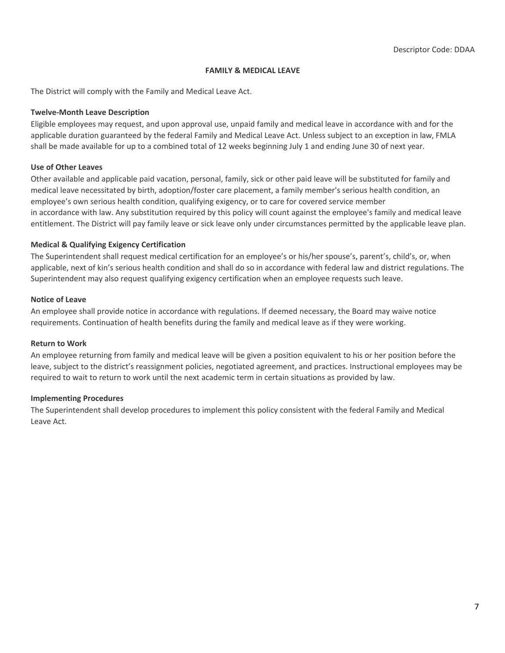#### **FAMILY & MEDICAL LEAVE**

The District will comply with the Family and Medical Leave Act.

#### **Twelve‐Month Leave Description**

Eligible employees may request, and upon approval use, unpaid family and medical leave in accordance with and for the applicable duration guaranteed by the federal Family and Medical Leave Act. Unless subject to an exception in law, FMLA shall be made available for up to a combined total of 12 weeks beginning July 1 and ending June 30 of next year.

#### **Use of Other Leaves**

Other available and applicable paid vacation, personal, family, sick or other paid leave will be substituted for family and medical leave necessitated by birth, adoption/foster care placement, a family member's serious health condition, an employee's own serious health condition, qualifying exigency, or to care for covered service member in accordance with law. Any substitution required by this policy will count against the employee's family and medical leave entitlement. The District will pay family leave or sick leave only under circumstances permitted by the applicable leave plan.

#### **Medical & Qualifying Exigency Certification**

The Superintendent shall request medical certification for an employee's or his/her spouse's, parent's, child's, or, when applicable, next of kin's serious health condition and shall do so in accordance with federal law and district regulations. The Superintendent may also request qualifying exigency certification when an employee requests such leave.

#### **Notice of Leave**

An employee shall provide notice in accordance with regulations. If deemed necessary, the Board may waive notice requirements. Continuation of health benefits during the family and medical leave as if they were working.

#### **Return to Work**

An employee returning from family and medical leave will be given a position equivalent to his or her position before the leave, subject to the district's reassignment policies, negotiated agreement, and practices. Instructional employees may be required to wait to return to work until the next academic term in certain situations as provided by law.

#### **Implementing Procedures**

The Superintendent shall develop procedures to implement this policy consistent with the federal Family and Medical Leave Act.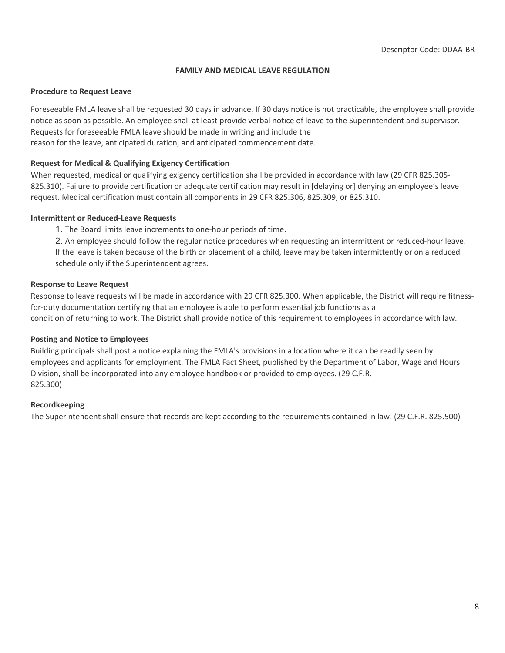#### **FAMILY AND MEDICAL LEAVE REGULATION**

#### **Procedure to Request Leave**

Foreseeable FMLA leave shall be requested 30 days in advance. If 30 days notice is not practicable, the employee shall provide notice as soon as possible. An employee shall at least provide verbal notice of leave to the Superintendent and supervisor. Requests for foreseeable FMLA leave should be made in writing and include the reason for the leave, anticipated duration, and anticipated commencement date.

#### **Request for Medical & Qualifying Exigency Certification**

When requested, medical or qualifying exigency certification shall be provided in accordance with law (29 CFR 825.305-825.310). Failure to provide certification or adequate certification may result in [delaying or] denying an employee's leave request. Medical certification must contain all components in 29 CFR 825.306, 825.309, or 825.310.

#### **Intermittent or Reduced‐Leave Requests**

1. The Board limits leave increments to one‐hour periods of time.

2. An employee should follow the regular notice procedures when requesting an intermittent or reduced-hour leave. If the leave is taken because of the birth or placement of a child, leave may be taken intermittently or on a reduced schedule only if the Superintendent agrees.

#### **Response to Leave Request**

Response to leave requests will be made in accordance with 29 CFR 825.300. When applicable, the District will require fitnessfor-duty documentation certifying that an employee is able to perform essential job functions as a condition of returning to work. The District shall provide notice of this requirement to employees in accordance with law.

#### **Posting and Notice to Employees**

Building principals shall post a notice explaining the FMLA's provisions in a location where it can be readily seen by employees and applicants for employment. The FMLA Fact Sheet, published by the Department of Labor, Wage and Hours Division, shall be incorporated into any employee handbook or provided to employees. (29 C.F.R. 825.300)

#### **Recordkeeping**

The Superintendent shall ensure that records are kept according to the requirements contained in law. (29 C.F.R. 825.500)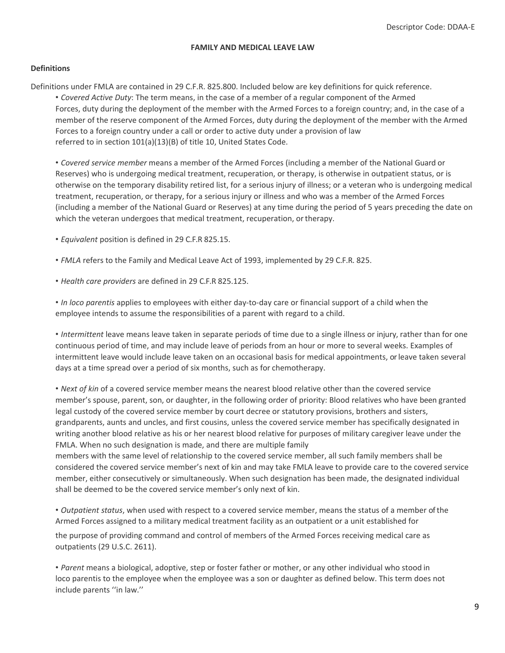#### **FAMILY AND MEDICAL LEAVE LAW**

#### **Definitions**

Definitions under FMLA are contained in 29 C.F.R. 825.800. Included below are key definitions for quick reference.

• *Covered Active Duty*: The term means, in the case of a member of a regular component of the Armed Forces, duty during the deployment of the member with the Armed Forces to a foreign country; and, in the case of a member of the reserve component of the Armed Forces, duty during the deployment of the member with the Armed Forces to a foreign country under a call or order to active duty under a provision of law referred to in section 101(a)(13)(B) of title 10, United States Code.

• *Covered service member* means a member of the Armed Forces (including a member of the National Guard or Reserves) who is undergoing medical treatment, recuperation, or therapy, is otherwise in outpatient status, or is otherwise on the temporary disability retired list, for a serious injury of illness; or a veteran who is undergoing medical treatment, recuperation, or therapy, for a serious injury or illness and who was a member of the Armed Forces (including a member of the National Guard or Reserves) at any time during the period of 5 years preceding the date on which the veteran undergoes that medical treatment, recuperation, or therapy.

• *Equivalent* position is defined in 29 C.F.R 825.15.

• *FMLA* refers to the Family and Medical Leave Act of 1993, implemented by 29 C.F.R. 825.

• *Health care providers* are defined in 29 C.F.R 825.125.

• *In loco parentis* applies to employees with either day‐to‐day care or financial support of a child when the employee intends to assume the responsibilities of a parent with regard to a child.

• *Intermittent* leave means leave taken in separate periods of time due to a single illness or injury, rather than for one continuous period of time, and may include leave of periods from an hour or more to several weeks. Examples of intermittent leave would include leave taken on an occasional basis for medical appointments, orleave taken several days at a time spread over a period of six months, such as for chemotherapy.

• *Next of kin* of a covered service member means the nearest blood relative other than the covered service member's spouse, parent, son, or daughter, in the following order of priority: Blood relatives who have been granted legal custody of the covered service member by court decree or statutory provisions, brothers and sisters, grandparents, aunts and uncles, and first cousins, unless the covered service member has specifically designated in writing another blood relative as his or her nearest blood relative for purposes of military caregiver leave under the FMLA. When no such designation is made, and there are multiple family

members with the same level of relationship to the covered service member, all such family members shall be considered the covered service member's next of kin and may take FMLA leave to provide care to the covered service member, either consecutively or simultaneously. When such designation has been made, the designated individual shall be deemed to be the covered service member's only next of kin.

• *Outpatient status*, when used with respect to a covered service member, means the status of a member ofthe Armed Forces assigned to a military medical treatment facility as an outpatient or a unit established for the purpose of providing command and control of members of the Armed Forces receiving medical care as outpatients (29 U.S.C. 2611).

• *Parent* means a biological, adoptive, step or foster father or mother, or any other individual who stood in loco parentis to the employee when the employee was a son or daughter as defined below. This term does not include parents ''in law.''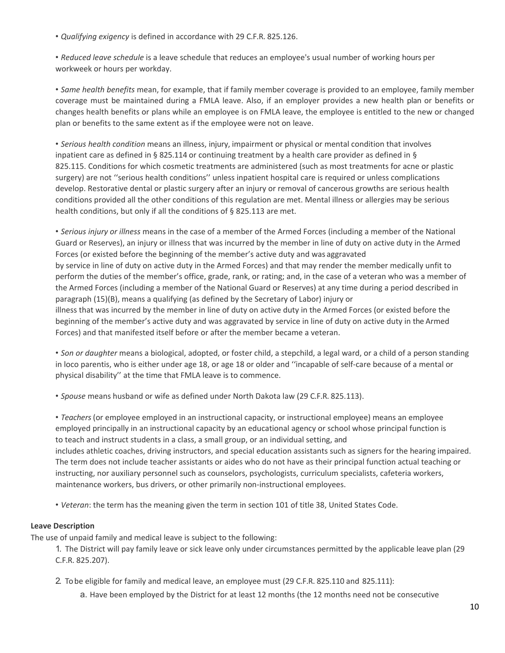- *Qualifying exigency* is defined in accordance with 29 C.F.R. 825.126.
- *Reduced leave schedule* is a leave schedule that reduces an employee's usual number of working hours per workweek or hours per workday.

• *Same health benefits* mean, for example, that if family member coverage is provided to an employee, family member coverage must be maintained during a FMLA leave. Also, if an employer provides a new health plan or benefits or changes health benefits or plans while an employee is on FMLA leave, the employee is entitled to the new or changed plan or benefits to the same extent as if the employee were not on leave.

• *Serious health condition* means an illness, injury, impairment or physical or mental condition that involves inpatient care as defined in § 825.114 or continuing treatment by a health care provider as defined in § 825.115. Conditions for which cosmetic treatments are administered (such as most treatments for acne or plastic surgery) are not ''serious health conditions'' unless inpatient hospital care is required or unless complications develop. Restorative dental or plastic surgery after an injury or removal of cancerous growths are serious health conditions provided all the other conditions of this regulation are met. Mental illness or allergies may be serious health conditions, but only if all the conditions of § 825.113 are met.

• *Serious injury or illness* means in the case of a member of the Armed Forces (including a member of the National Guard or Reserves), an injury or illness that was incurred by the member in line of duty on active duty in the Armed Forces (or existed before the beginning of the member's active duty and was aggravated by service in line of duty on active duty in the Armed Forces) and that may render the member medically unfit to perform the duties of the member's office, grade, rank, or rating; and, in the case of a veteran who was a member of the Armed Forces (including a member of the National Guard or Reserves) at any time during a period described in paragraph (15)(B), means a qualifying (as defined by the Secretary of Labor) injury or illness that was incurred by the member in line of duty on active duty in the Armed Forces (or existed before the beginning of the member's active duty and was aggravated by service in line of duty on active duty in the Armed Forces) and that manifested itself before or after the member became a veteran.

• *Son or daughter* means a biological, adopted, or foster child, a stepchild, a legal ward, or a child of a person standing in loco parentis, who is either under age 18, or age 18 or older and ''incapable of self‐care because of a mental or physical disability'' at the time that FMLA leave is to commence.

• *Spouse* means husband or wife as defined under North Dakota law (29 C.F.R. 825.113).

• *Teachers*(or employee employed in an instructional capacity, or instructional employee) means an employee employed principally in an instructional capacity by an educational agency or school whose principal function is to teach and instruct students in a class, a small group, or an individual setting, and includes athletic coaches, driving instructors, and special education assistants such as signers for the hearing impaired. The term does not include teacher assistants or aides who do not have as their principal function actual teaching or instructing, nor auxiliary personnel such as counselors, psychologists, curriculum specialists, cafeteria workers, maintenance workers, bus drivers, or other primarily non-instructional employees.

• *Veteran*: the term has the meaning given the term in section 101 of title 38, United States Code.

#### **Leave Description**

The use of unpaid family and medical leave is subject to the following:

1. The District will pay family leave or sick leave only under circumstances permitted by the applicable leave plan (29 C.F.R. 825.207).

2. Tobe eligible for family and medical leave, an employee must (29 C.F.R. 825.110 and 825.111):

a. Have been employed by the District for at least 12 months (the 12 months need not be consecutive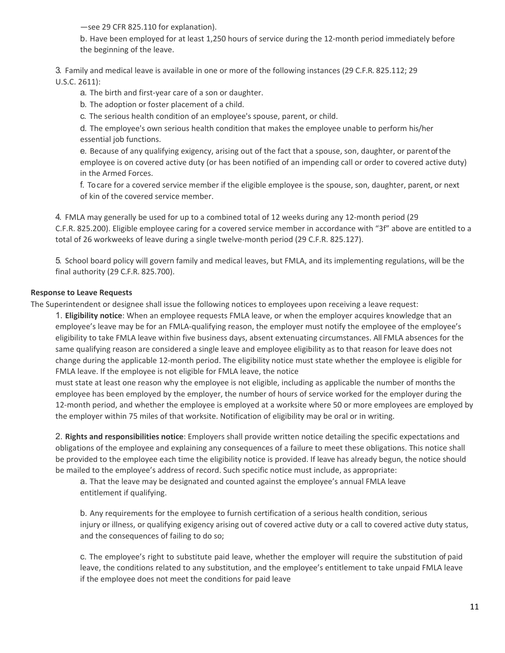—see 29 CFR 825.110 for explanation).

b. Have been employed for at least 1,250 hours of service during the 12‐month period immediately before the beginning of the leave.

3. Family and medical leave is available in one or more of the following instances (29 C.F.R. 825.112; 29 U.S.C. 2611):

a. The birth and first‐year care of a son or daughter.

b. The adoption or foster placement of a child.

c. The serious health condition of an employee's spouse, parent, or child.

d. The employee's own serious health condition that makes the employee unable to perform his/her essential job functions.

e. Because of any qualifying exigency, arising out of the fact that a spouse, son, daughter, or parentofthe employee is on covered active duty (or has been notified of an impending call or order to covered active duty) in the Armed Forces.

f. Tocare for a covered service member if the eligible employee is the spouse, son, daughter, parent, or next of kin of the covered service member.

4. FMLA may generally be used for up to a combined total of 12 weeks during any 12-month period (29 C.F.R. 825.200). Eligible employee caring for a covered service member in accordance with "3f" above are entitled to a total of 26 workweeks of leave during a single twelve-month period (29 C.F.R. 825.127).

5. School board policy will govern family and medical leaves, but FMLA, and its implementing regulations, will be the final authority (29 C.F.R. 825.700).

#### **Response to Leave Requests**

The Superintendent or designee shall issue the following notices to employees upon receiving a leave request:

1. **Eligibility notice**: When an employee requests FMLA leave, or when the employer acquires knowledge that an employee's leave may be for an FMLA‐qualifying reason, the employer must notify the employee of the employee's eligibility to take FMLA leave within five business days, absent extenuating circumstances. All FMLA absences for the same qualifying reason are considered a single leave and employee eligibility as to that reason for leave does not change during the applicable 12‐month period. The eligibility notice must state whether the employee is eligible for FMLA leave. If the employee is not eligible for FMLA leave, the notice

must state at least one reason why the employee is not eligible, including as applicable the number of months the employee has been employed by the employer, the number of hours of service worked for the employer during the 12‐month period, and whether the employee is employed at a worksite where 50 or more employees are employed by the employer within 75 miles of that worksite. Notification of eligibility may be oral or in writing.

2. **Rights and responsibilities notice**: Employers shall provide written notice detailing the specific expectations and obligations of the employee and explaining any consequences of a failure to meet these obligations. This notice shall be provided to the employee each time the eligibility notice is provided. If leave has already begun, the notice should be mailed to the employee's address of record. Such specific notice must include, as appropriate:

a. That the leave may be designated and counted against the employee's annual FMLA leave entitlement if qualifying.

b. Any requirements for the employee to furnish certification of a serious health condition, serious injury or illness, or qualifying exigency arising out of covered active duty or a call to covered active duty status, and the consequences of failing to do so;

c. The employee's right to substitute paid leave, whether the employer will require the substitution of paid leave, the conditions related to any substitution, and the employee's entitlement to take unpaid FMLA leave if the employee does not meet the conditions for paid leave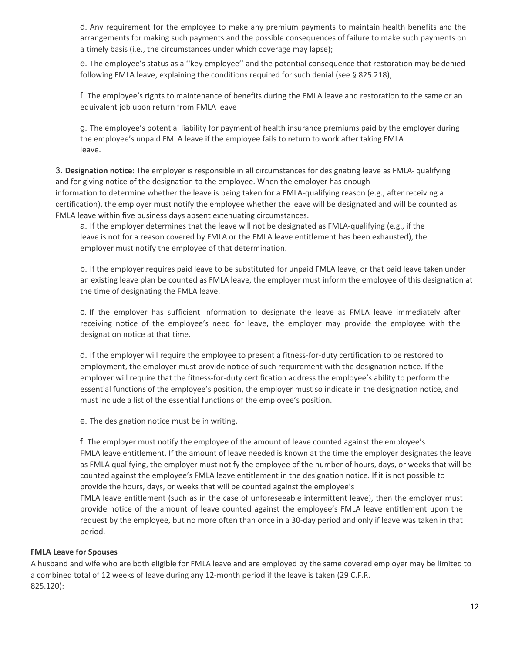d. Any requirement for the employee to make any premium payments to maintain health benefits and the arrangements for making such payments and the possible consequences of failure to make such payments on a timely basis (i.e., the circumstances under which coverage may lapse);

e. The employee's status as a ''key employee'' and the potential consequence that restoration may be denied following FMLA leave, explaining the conditions required for such denial (see § 825.218);

f. The employee's rights to maintenance of benefits during the FMLA leave and restoration to the same or an equivalent job upon return from FMLA leave

g. The employee's potential liability for payment of health insurance premiums paid by the employer during the employee's unpaid FMLA leave if the employee fails to return to work after taking FMLA leave.

3. **Designation notice**: The employer is responsible in all circumstances for designating leave as FMLA‐ qualifying and for giving notice of the designation to the employee. When the employer has enough information to determine whether the leave is being taken for a FMLA‐qualifying reason (e.g., after receiving a certification), the employer must notify the employee whether the leave will be designated and will be counted as FMLA leave within five business days absent extenuating circumstances.

a. If the employer determines that the leave will not be designated as FMLA‐qualifying (e.g., if the leave is not for a reason covered by FMLA or the FMLA leave entitlement has been exhausted), the employer must notify the employee of that determination.

b. If the employer requires paid leave to be substituted for unpaid FMLA leave, or that paid leave taken under an existing leave plan be counted as FMLA leave, the employer must inform the employee of this designation at the time of designating the FMLA leave.

c. If the employer has sufficient information to designate the leave as FMLA leave immediately after receiving notice of the employee's need for leave, the employer may provide the employee with the designation notice at that time.

d. If the employer will require the employee to present a fitness‐for‐duty certification to be restored to employment, the employer must provide notice of such requirement with the designation notice. If the employer will require that the fitness-for-duty certification address the employee's ability to perform the essential functions of the employee's position, the employer must so indicate in the designation notice, and must include a list of the essential functions of the employee's position.

e. The designation notice must be in writing.

f. The employer must notify the employee of the amount of leave counted against the employee's FMLA leave entitlement. If the amount of leave needed is known at the time the employer designates the leave as FMLA qualifying, the employer must notify the employee of the number of hours, days, or weeks that will be counted against the employee's FMLA leave entitlement in the designation notice. If it is not possible to provide the hours, days, or weeks that will be counted against the employee's

FMLA leave entitlement (such as in the case of unforeseeable intermittent leave), then the employer must provide notice of the amount of leave counted against the employee's FMLA leave entitlement upon the request by the employee, but no more often than once in a 30‐day period and only if leave was taken in that period.

#### **FMLA Leave for Spouses**

A husband and wife who are both eligible for FMLA leave and are employed by the same covered employer may be limited to a combined total of 12 weeks of leave during any 12-month period if the leave is taken (29 C.F.R. 825.120):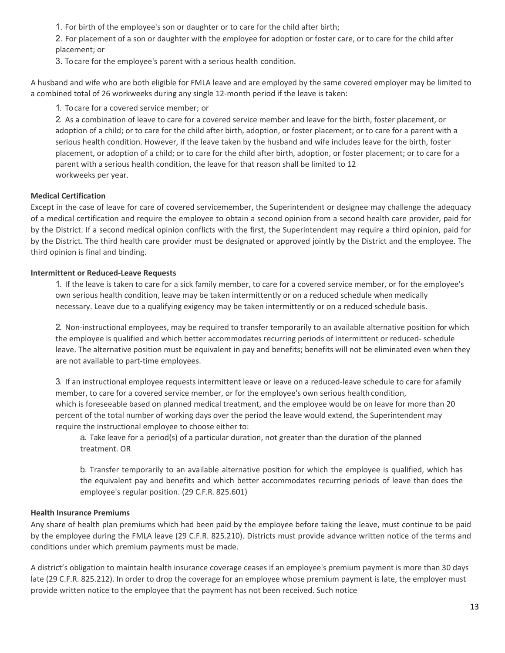1. For birth of the employee's son or daughter or to care for the child after birth;

2. For placement of a son or daughter with the employee for adoption or foster care, or to care for the child after placement; or

3. Tocare for the employee's parent with a serious health condition.

A husband and wife who are both eligible for FMLA leave and are employed by the same covered employer may be limited to a combined total of 26 workweeks during any single 12‐month period if the leave is taken:

1. Tocare for a covered service member; or

2. As a combination of leave to care for a covered service member and leave for the birth, foster placement, or adoption of a child; or to care for the child after birth, adoption, or foster placement; or to care for a parent with a serious health condition. However, if the leave taken by the husband and wife includes leave for the birth, foster placement, or adoption of a child; or to care for the child after birth, adoption, or foster placement; or to care for a parent with a serious health condition, the leave for that reason shall be limited to 12 workweeks per year.

#### **Medical Certification**

Except in the case of leave for care of covered servicemember, the Superintendent or designee may challenge the adequacy of a medical certification and require the employee to obtain a second opinion from a second health care provider, paid for by the District. If a second medical opinion conflicts with the first, the Superintendent may require a third opinion, paid for by the District. The third health care provider must be designated or approved jointly by the District and the employee. The third opinion is final and binding.

#### **Intermittent or Reduced‐Leave Requests**

1. If the leave is taken to care for a sick family member, to care for a covered service member, or for the employee's own serious health condition, leave may be taken intermittently or on a reduced schedule when medically necessary. Leave due to a qualifying exigency may be taken intermittently or on a reduced schedule basis.

2. Non‐instructional employees, may be required to transfer temporarily to an available alternative position for which the employee is qualified and which better accommodates recurring periods of intermittent or reduced‐ schedule leave. The alternative position must be equivalent in pay and benefits; benefits will not be eliminated even when they are not available to part‐time employees.

3. If an instructional employee requests intermittent leave or leave on a reduced‐leave schedule to care for afamily member, to care for a covered service member, or for the employee's own serious health condition, which is foreseeable based on planned medical treatment, and the employee would be on leave for more than 20 percent of the total number of working days over the period the leave would extend, the Superintendent may require the instructional employee to choose either to:

a. Take leave for a period(s) of a particular duration, not greater than the duration of the planned treatment. OR

b. Transfer temporarily to an available alternative position for which the employee is qualified, which has the equivalent pay and benefits and which better accommodates recurring periods of leave than does the employee's regular position. (29 C.F.R. 825.601)

#### **Health Insurance Premiums**

Any share of health plan premiums which had been paid by the employee before taking the leave, must continue to be paid by the employee during the FMLA leave (29 C.F.R. 825.210). Districts must provide advance written notice of the terms and conditions under which premium payments must be made.

A district's obligation to maintain health insurance coverage ceases if an employee's premium payment is more than 30 days late (29 C.F.R. 825.212). In order to drop the coverage for an employee whose premium payment is late, the employer must provide written notice to the employee that the payment has not been received. Such notice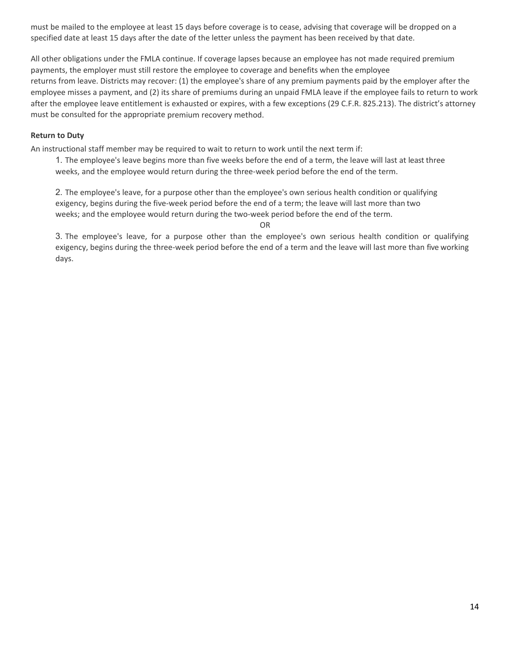must be mailed to the employee at least 15 days before coverage is to cease, advising that coverage will be dropped on a specified date at least 15 days after the date of the letter unless the payment has been received by that date.

All other obligations under the FMLA continue. If coverage lapses because an employee has not made required premium payments, the employer must still restore the employee to coverage and benefits when the employee returns from leave. Districts may recover: (1) the employee's share of any premium payments paid by the employer after the employee misses a payment, and (2) its share of premiums during an unpaid FMLA leave if the employee fails to return to work after the employee leave entitlement is exhausted or expires, with a few exceptions (29 C.F.R. 825.213). The district's attorney must be consulted for the appropriate premium recovery method.

#### **Return to Duty**

An instructional staff member may be required to wait to return to work until the next term if:

1. The employee's leave begins more than five weeks before the end of a term, the leave will last at least three weeks, and the employee would return during the three-week period before the end of the term.

2. The employee's leave, for a purpose other than the employee's own serious health condition or qualifying exigency, begins during the five-week period before the end of a term; the leave will last more than two weeks; and the employee would return during the two-week period before the end of the term.

OR

3. The employee's leave, for a purpose other than the employee's own serious health condition or qualifying exigency, begins during the three‐week period before the end of a term and the leave will last more than five working days.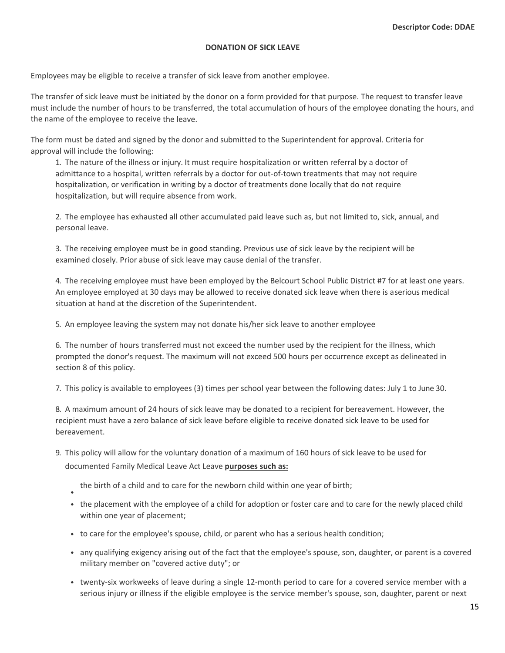#### **DONATION OF SICK LEAVE**

Employees may be eligible to receive a transfer of sick leave from another employee.

The transfer of sick leave must be initiated by the donor on a form provided for that purpose. The request to transfer leave must include the number of hours to be transferred, the total accumulation of hours of the employee donating the hours, and the name of the employee to receive the leave.

The form must be dated and signed by the donor and submitted to the Superintendent for approval. Criteria for approval will include the following:

1. The nature of the illness or injury. It must require hospitalization or written referral by a doctor of admittance to a hospital, written referrals by a doctor for out‐of‐town treatments that may not require hospitalization, or verification in writing by a doctor of treatments done locally that do not require hospitalization, but will require absence from work.

2. The employee has exhausted all other accumulated paid leave such as, but not limited to, sick, annual, and personal leave.

3. The receiving employee must be in good standing. Previous use of sick leave by the recipient will be examined closely. Prior abuse of sick leave may cause denial of the transfer.

4. The receiving employee must have been employed by the Belcourt School Public District #7 for at least one years. An employee employed at 30 days may be allowed to receive donated sick leave when there is aserious medical situation at hand at the discretion of the Superintendent.

5. An employee leaving the system may not donate his/her sick leave to another employee

6. The number of hours transferred must not exceed the number used by the recipient for the illness, which prompted the donor's request. The maximum will not exceed 500 hours per occurrence except as delineated in section 8 of this policy.

7. This policy is available to employees (3) times per school year between the following dates: July 1 to June 30.

8. A maximum amount of 24 hours of sick leave may be donated to a recipient for bereavement. However, the recipient must have a zero balance of sick leave before eligible to receive donated sick leave to be used for bereavement.

- 9. This policy will allow for the voluntary donation of a maximum of 160 hours of sick leave to be used for documented Family Medical Leave Act Leave **purposes such as:**
	- the birth of a child and to care for the newborn child within one year of birth;
	- the placement with the employee of a child for adoption or foster care and to care for the newly placed child within one year of placement;
	- to care for the employee's spouse, child, or parent who has a serious health condition;
	- any qualifying exigency arising out of the fact that the employee's spouse, son, daughter, or parent is a covered military member on "covered active duty"; or
	- twenty‐six workweeks of leave during a single 12‐month period to care for a covered service member with a serious injury or illness if the eligible employee is the service member's spouse, son, daughter, parent or next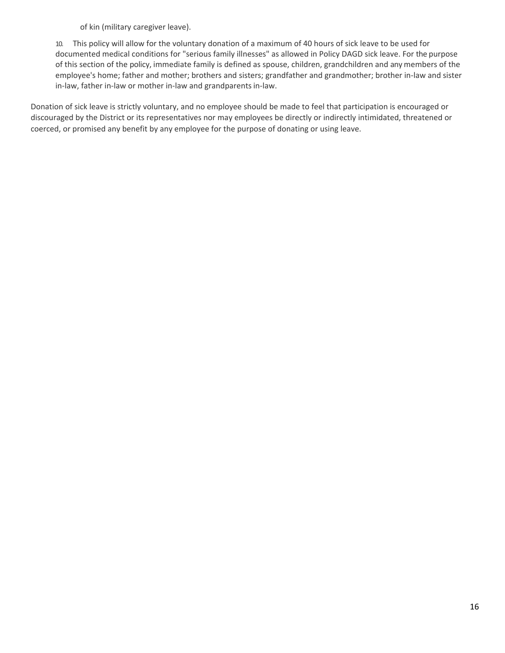of kin (military caregiver leave).

10. This policy will allow for the voluntary donation of a maximum of 40 hours of sick leave to be used for documented medical conditions for "serious family illnesses" as allowed in Policy DAGD sick leave. For the purpose of this section of the policy, immediate family is defined as spouse, children, grandchildren and any members of the employee's home; father and mother; brothers and sisters; grandfather and grandmother; brother in‐law and sister in-law, father in-law or mother in-law and grandparents in-law.

Donation of sick leave is strictly voluntary, and no employee should be made to feel that participation is encouraged or discouraged by the District or its representatives nor may employees be directly or indirectly intimidated, threatened or coerced, or promised any benefit by any employee for the purpose of donating or using leave.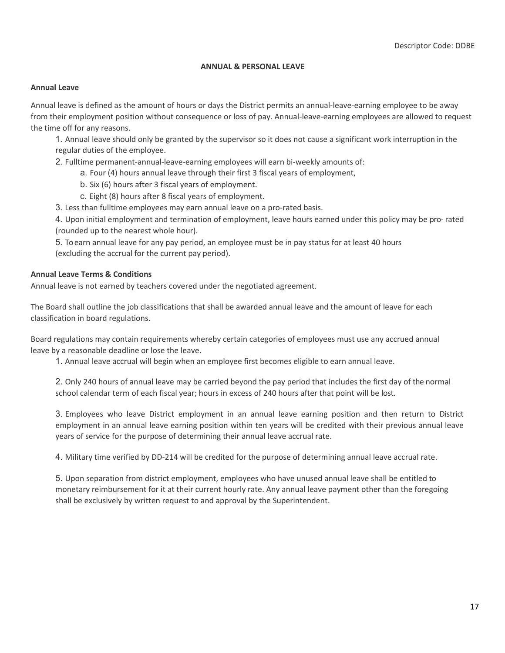#### **ANNUAL & PERSONAL LEAVE**

#### **Annual Leave**

Annual leave is defined as the amount of hours or days the District permits an annual-leave-earning employee to be away from their employment position without consequence or loss of pay. Annual-leave-earning employees are allowed to request the time off for any reasons.

1. Annual leave should only be granted by the supervisor so it does not cause a significant work interruption in the regular duties of the employee.

2. Fulltime permanent‐annual‐leave‐earning employees will earn bi‐weekly amounts of:

a. Four (4) hours annual leave through their first 3 fiscal years of employment,

b. Six (6) hours after 3 fiscal years of employment.

c. Eight (8) hours after 8 fiscal years of employment.

3. Less than fulltime employees may earn annual leave on a pro‐rated basis.

4. Upon initial employment and termination of employment, leave hours earned under this policy may be pro‐ rated (rounded up to the nearest whole hour).

5. Toearn annual leave for any pay period, an employee must be in pay status for at least 40 hours (excluding the accrual for the current pay period).

#### **Annual Leave Terms & Conditions**

Annual leave is not earned by teachers covered under the negotiated agreement.

The Board shall outline the job classifications that shall be awarded annual leave and the amount of leave for each classification in board regulations.

Board regulations may contain requirements whereby certain categories of employees must use any accrued annual leave by a reasonable deadline or lose the leave.

1. Annual leave accrual will begin when an employee first becomes eligible to earn annual leave.

2. Only 240 hours of annual leave may be carried beyond the pay period that includes the first day of the normal school calendar term of each fiscal year; hours in excess of 240 hours after that point will be lost.

3. Employees who leave District employment in an annual leave earning position and then return to District employment in an annual leave earning position within ten years will be credited with their previous annual leave years of service for the purpose of determining their annual leave accrual rate.

4. Military time verified by DD‐214 will be credited for the purpose of determining annual leave accrual rate.

5. Upon separation from district employment, employees who have unused annual leave shall be entitled to monetary reimbursement for it at their current hourly rate. Any annual leave payment other than the foregoing shall be exclusively by written request to and approval by the Superintendent.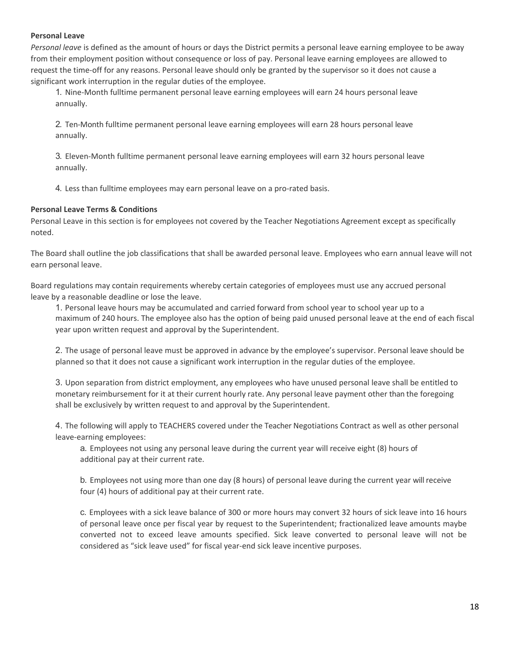#### **Personal Leave**

*Personal leave* is defined as the amount of hours or days the District permits a personal leave earning employee to be away from their employment position without consequence or loss of pay. Personal leave earning employees are allowed to request the time‐off for any reasons. Personal leave should only be granted by the supervisor so it does not cause a significant work interruption in the regular duties of the employee.

1. Nine‐Month fulltime permanent personal leave earning employees will earn 24 hours personal leave annually.

2. Ten‐Month fulltime permanent personal leave earning employees will earn 28 hours personal leave annually.

3. Eleven‐Month fulltime permanent personal leave earning employees will earn 32 hours personal leave annually.

4. Less than fulltime employees may earn personal leave on a pro-rated basis.

#### **Personal Leave Terms & Conditions**

Personal Leave in this section is for employees not covered by the Teacher Negotiations Agreement except as specifically noted.

The Board shall outline the job classifications that shall be awarded personal leave. Employees who earn annual leave will not earn personal leave.

Board regulations may contain requirements whereby certain categories of employees must use any accrued personal leave by a reasonable deadline or lose the leave.

1. Personal leave hours may be accumulated and carried forward from school year to school year up to a maximum of 240 hours. The employee also has the option of being paid unused personal leave at the end of each fiscal year upon written request and approval by the Superintendent.

2. The usage of personal leave must be approved in advance by the employee's supervisor. Personal leave should be planned so that it does not cause a significant work interruption in the regular duties of the employee.

3. Upon separation from district employment, any employees who have unused personal leave shall be entitled to monetary reimbursement for it at their current hourly rate. Any personal leave payment other than the foregoing shall be exclusively by written request to and approval by the Superintendent.

4. The following will apply to TEACHERS covered under the Teacher Negotiations Contract as well as other personal leave‐earning employees:

a. Employees not using any personal leave during the current year will receive eight (8) hours of additional pay at their current rate.

b. Employees not using more than one day (8 hours) of personal leave during the current year will receive four (4) hours of additional pay at their current rate.

c. Employees with a sick leave balance of 300 or more hours may convert 32 hours of sick leave into 16 hours of personal leave once per fiscal year by request to the Superintendent; fractionalized leave amounts maybe converted not to exceed leave amounts specified. Sick leave converted to personal leave will not be considered as "sick leave used" for fiscal year‐end sick leave incentive purposes.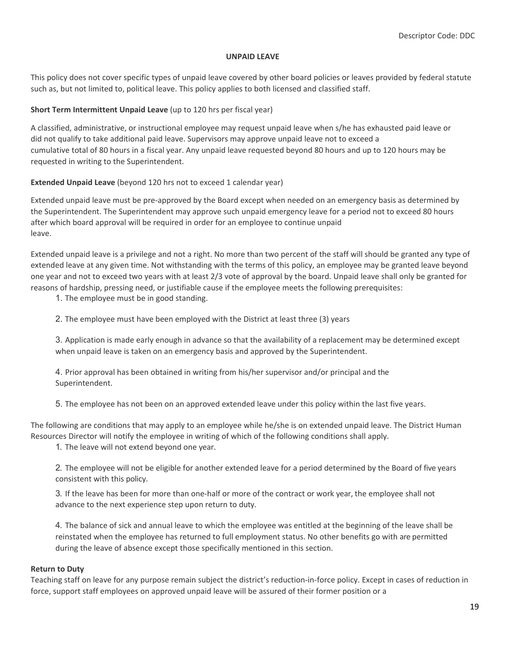#### **UNPAID LEAVE**

This policy does not cover specific types of unpaid leave covered by other board policies or leaves provided by federal statute such as, but not limited to, political leave. This policy applies to both licensed and classified staff.

#### **Short Term Intermittent Unpaid Leave** (up to 120 hrs per fiscal year)

A classified, administrative, or instructional employee may request unpaid leave when s/he has exhausted paid leave or did not qualify to take additional paid leave. Supervisors may approve unpaid leave not to exceed a cumulative total of 80 hours in a fiscal year. Any unpaid leave requested beyond 80 hours and up to 120 hours may be requested in writing to the Superintendent.

#### **Extended Unpaid Leave** (beyond 120 hrs not to exceed 1 calendar year)

Extended unpaid leave must be pre‐approved by the Board except when needed on an emergency basis as determined by the Superintendent. The Superintendent may approve such unpaid emergency leave for a period not to exceed 80 hours after which board approval will be required in order for an employee to continue unpaid leave.

Extended unpaid leave is a privilege and not a right. No more than two percent of the staff will should be granted any type of extended leave at any given time. Not withstanding with the terms of this policy, an employee may be granted leave beyond one year and not to exceed two years with at least 2/3 vote of approval by the board. Unpaid leave shall only be granted for reasons of hardship, pressing need, or justifiable cause if the employee meets the following prerequisites:

1. The employee must be in good standing.

2. The employee must have been employed with the District at least three (3) years

3. Application is made early enough in advance so that the availability of a replacement may be determined except when unpaid leave is taken on an emergency basis and approved by the Superintendent.

4. Prior approval has been obtained in writing from his/her supervisor and/or principal and the Superintendent.

5. The employee has not been on an approved extended leave under this policy within the last five years.

The following are conditions that may apply to an employee while he/she is on extended unpaid leave. The District Human Resources Director will notify the employee in writing of which of the following conditions shall apply.

1. The leave will not extend beyond one year.

2. The employee will not be eligible for another extended leave for a period determined by the Board of five years consistent with this policy.

3. If the leave has been for more than one‐half or more of the contract or work year, the employee shall not advance to the next experience step upon return to duty.

4. The balance of sick and annual leave to which the employee was entitled at the beginning of the leave shall be reinstated when the employee has returned to full employment status. No other benefits go with are permitted during the leave of absence except those specifically mentioned in this section.

#### **Return to Duty**

Teaching staff on leave for any purpose remain subject the district's reduction-in-force policy. Except in cases of reduction in force, support staff employees on approved unpaid leave will be assured of their former position or a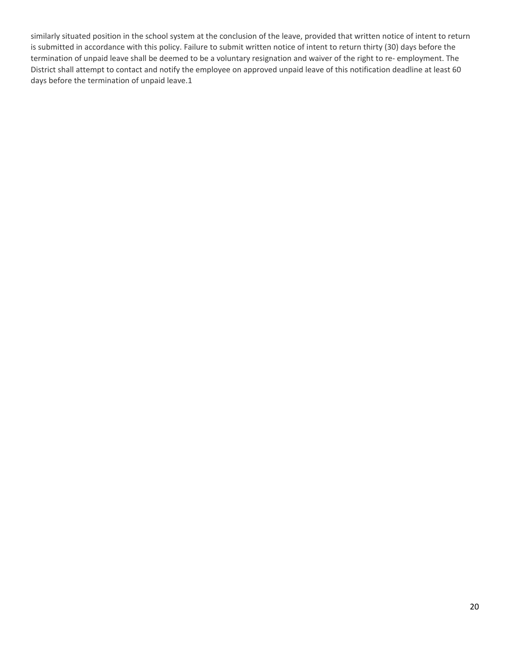similarly situated position in the school system at the conclusion of the leave, provided that written notice of intent to return is submitted in accordance with this policy. Failure to submit written notice of intent to return thirty (30) days before the termination of unpaid leave shall be deemed to be a voluntary resignation and waiver of the right to re‐ employment. The District shall attempt to contact and notify the employee on approved unpaid leave of this notification deadline at least 60 days before the termination of unpaid leave.1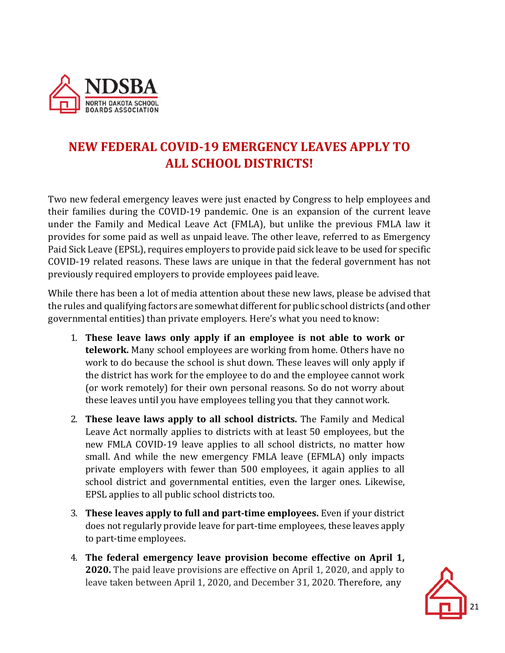

# **NEW FEDERAL COVID‐19 EMERGENCY LEAVES APPLY TO ALL SCHOOL DISTRICTS!**

Two new federal emergency leaves were just enacted by Congress to help employees and their families during the COVID-19 pandemic. One is an expansion of the current leave under the Family and Medical Leave Act (FMLA), but unlike the previous FMLA law it provides for some paid as well as unpaid leave. The other leave, referred to as Emergency Paid Sick Leave (EPSL), requires employers to provide paid sick leave to be used for specific COVID-19 related reasons. These laws are unique in that the federal government has not previously required employers to provide employees paid leave.

While there has been a lot of media attention about these new laws, please be advised that the rules and qualifying factors are somewhat different for public school districts (and other governmental entities) than private employers. Here's what you need to know:

- 1. **These leave laws only apply if an employee is not able to work or telework.** Many school employees are working from home. Others have no work to do because the school is shut down. These leaves will only apply if the district has work for the employee to do and the employee cannot work (or work remotely) for their own personal reasons. So do not worry about these leaves until you have employees telling you that they cannot work.
- 2. **These leave laws apply to all school districts.** The Family and Medical Leave Act normally applies to districts with at least 50 employees, but the new FMLA COVID-19 leave applies to all school districts, no matter how small. And while the new emergency FMLA leave (EFMLA) only impacts private employers with fewer than 500 employees, it again applies to all school district and governmental entities, even the larger ones. Likewise, EPSL applies to all public school districts too.
- 3. **These leaves apply to full and part‐time employees.** Even if your district does not regularly provide leave for part-time employees, these leaves apply to part-time employees.
- 4. **The federal emergency leave provision become effective on April 1, 2020.** The paid leave provisions are effective on April 1, 2020, and apply to leave taken between April 1, 2020, and December 31, 2020. Therefore, any

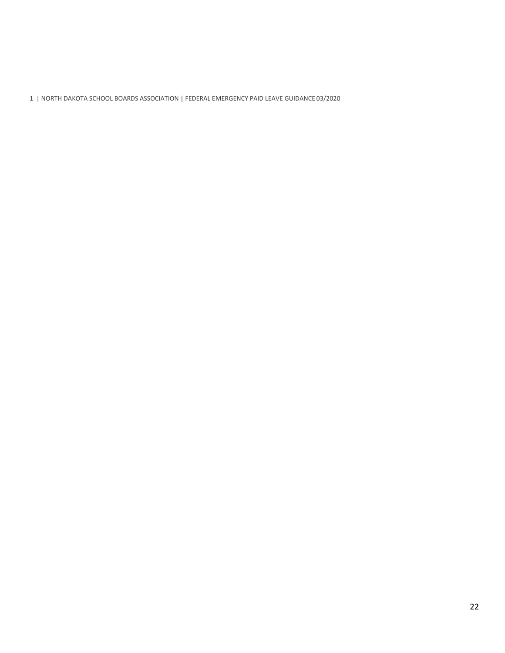| NORTH DAKOTA SCHOOL BOARDS ASSOCIATION | FEDERAL EMERGENCY PAID LEAVE GUIDANCE 03/2020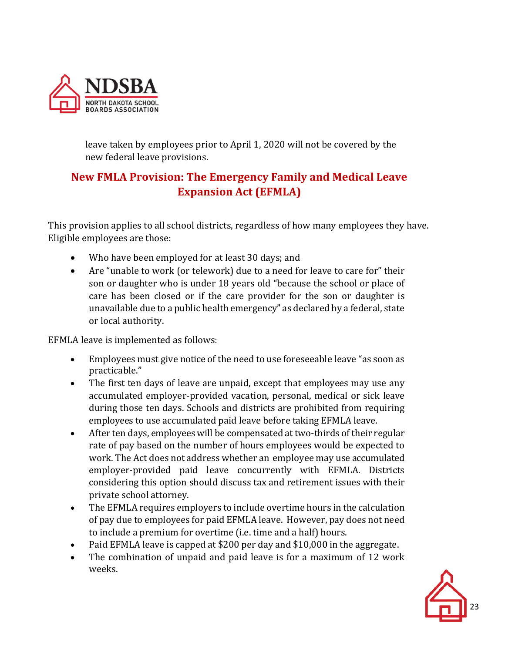

leave taken by employees prior to April 1, 2020 will not be covered by the new federal leave provisions.

## **New FMLA Provision: The Emergency Family and Medical Leave Expansion Act (EFMLA)**

This provision applies to all school districts, regardless of how many employees they have. Eligible employees are those:

- Who have been employed for at least 30 days; and
- Are "unable to work (or telework) due to a need for leave to care for" their son or daughter who is under 18 years old "because the school or place of care has been closed or if the care provider for the son or daughter is unavailable due to a public health emergency" as declared by a federal, state or local authority.

EFMLA leave is implemented as follows:

- Employees must give notice of the need to use foreseeable leave "as soon as practicable."
- The first ten days of leave are unpaid, except that employees may use any accumulated employer-provided vacation, personal, medical or sick leave during those ten days. Schools and districts are prohibited from requiring employees to use accumulated paid leave before taking EFMLA leave.
- After ten days, employees will be compensated at two-thirds of their regular rate of pay based on the number of hours employees would be expected to work. The Act does not address whether an employee may use accumulated employer-provided paid leave concurrently with EFMLA. Districts considering this option should discuss tax and retirement issues with their private school attorney.
- The EFMLA requires employers to include overtime hours in the calculation of pay due to employees for paid EFMLA leave. However, pay does not need to include a premium for overtime (i.e. time and a half) hours.
- Paid EFMLA leave is capped at \$200 per day and \$10,000 in the aggregate.
- The combination of unpaid and paid leave is for a maximum of 12 work weeks.

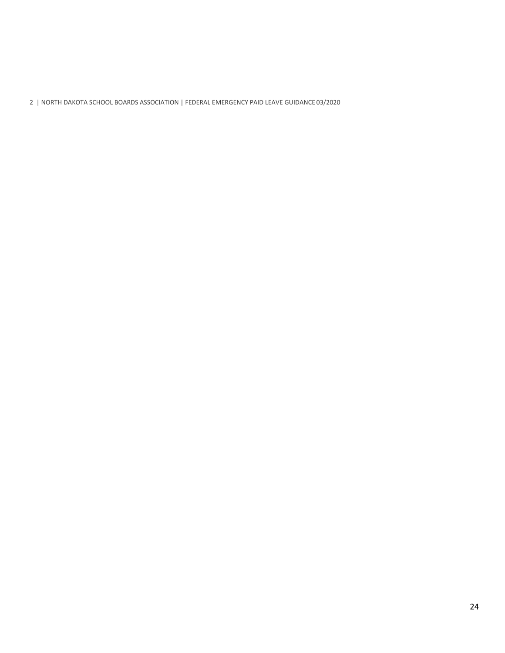| NORTH DAKOTA SCHOOL BOARDS ASSOCIATION | FEDERAL EMERGENCY PAID LEAVE GUIDANCE 03/2020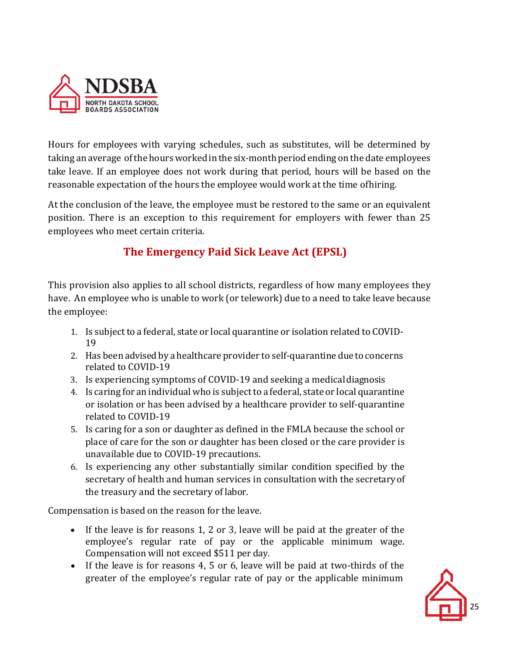

Hours for employees with varying schedules, such as substitutes, will be determined by taking an average of the hours worked in the six-month period ending on the date employees take leave. If an employee does not work during that period, hours will be based on the reasonable expectation of the hours the employee would work at the time of hiring.

At the conclusion of the leave, the employee must be restored to the same or an equivalent position. There is an exception to this requirement for employers with fewer than 25 employees who meet certain criteria.

## **The Emergency Paid Sick Leave Act (EPSL)**

This provision also applies to all school districts, regardless of how many employees they have. An employee who is unable to work (or telework) due to a need to take leave because the employee:

- 1. Is subject to a federal, state or local quarantine or isolation related to COVID-19
- 2. Has been advised by a healthcare provider to self-quarantine due to concerns related to COVID-19
- 3. Is experiencing symptoms of COVID-19 and seeking a medical diagnosis
- 4. Is caring for an individual who is subject to a federal, state or local quarantine or isolation or has been advised by a healthcare provider to self-quarantine related to COVID-19
- 5. Is caring for a son or daughter as defined in the FMLA because the school or place of care for the son or daughter has been closed or the care provider is unavailable due to COVID-19 precautions.
- 6. Is experiencing any other substantially similar condition specified by the secretary of health and human services in consultation with the secretary of the treasury and the secretary of labor.

Compensation is based on the reason for the leave.

- If the leave is for reasons 1, 2 or 3, leave will be paid at the greater of the employee's regular rate of pay or the applicable minimum wage. Compensation will not exceed \$511 per day.
- If the leave is for reasons 4, 5 or 6, leave will be paid at two-thirds of the greater of the employee's regular rate of pay or the applicable minimum

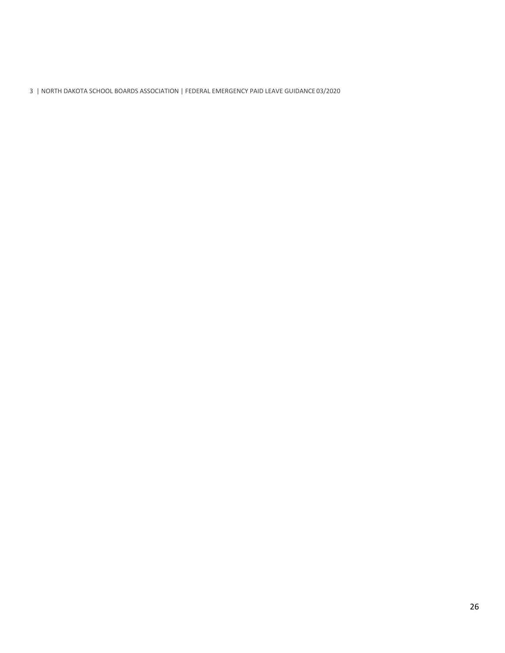| NORTH DAKOTA SCHOOL BOARDS ASSOCIATION | FEDERAL EMERGENCY PAID LEAVE GUIDANCE 03/2020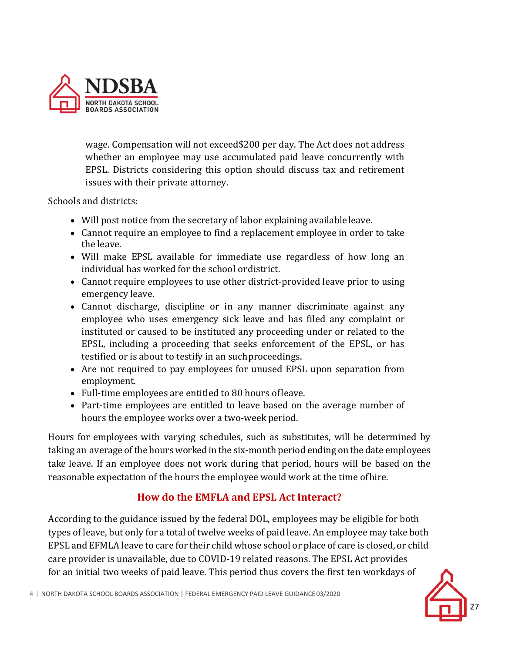

wage. Compensation will not exceed\$200 per day. The Act does not address whether an employee may use accumulated paid leave concurrently with EPSL. Districts considering this option should discuss tax and retirement issues with their private attorney.

Schools and districts:

- Will post notice from the secretary of labor explaining available leave.
- Cannot require an employee to find a replacement employee in order to take the leave.
- Will make EPSL available for immediate use regardless of how long an individual has worked for the school or district.
- Cannot require employees to use other district-provided leave prior to using emergency leave.
- Cannot discharge, discipline or in any manner discriminate against any employee who uses emergency sick leave and has filed any complaint or instituted or caused to be instituted any proceeding under or related to the EPSL, including a proceeding that seeks enforcement of the EPSL, or has testified or is about to testify in an such proceedings.
- Are not required to pay employees for unused EPSL upon separation from employment.
- Full-time employees are entitled to 80 hours of leave.
- Part-time employees are entitled to leave based on the average number of hours the employee works over a two-week period.

Hours for employees with varying schedules, such as substitutes, will be determined by taking an average of the hours worked in the six-month period ending on the date employees take leave. If an employee does not work during that period, hours will be based on the reasonable expectation of the hours the employee would work at the time of hire.

## **How do the EMFLA and EPSL Act Interact?**

According to the guidance issued by the federal DOL, employees may be eligible for both types of leave, but only for a total of twelve weeks of paid leave. An employee may take both EPSL and EFMLA leave to care for their child whose school or place of care is closed, or child care provider is unavailable, due to COVID-19 related reasons. The EPSL Act provides for an initial two weeks of paid leave. This period thus covers the first ten workdays of